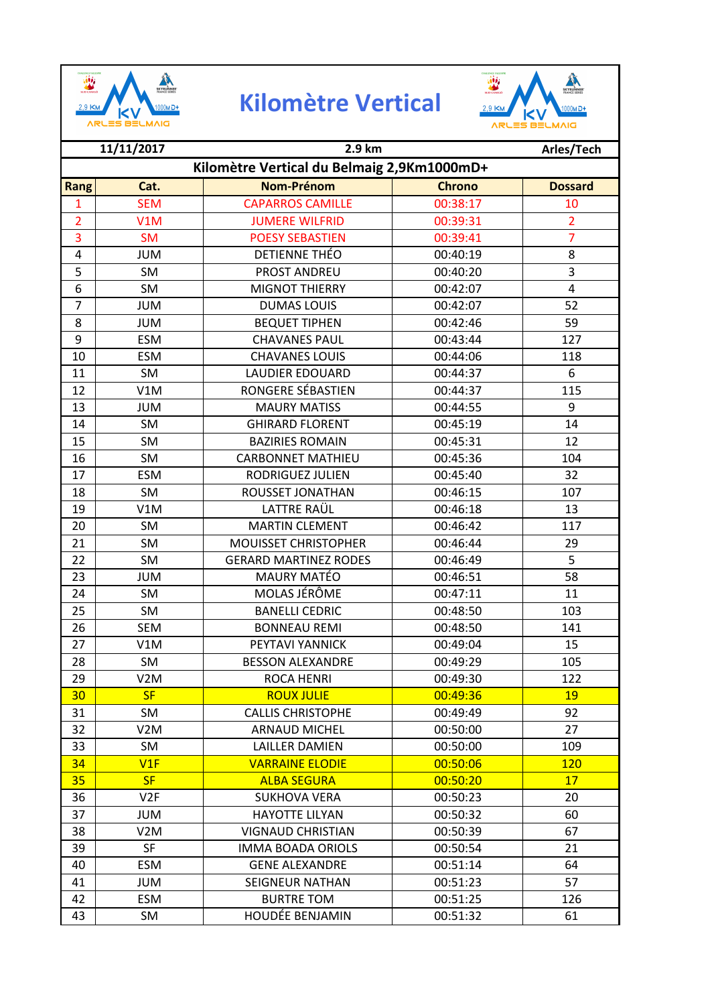

## **Kilomètre Vertical**



|                | 11/11/2017                                 | 2.9 km                       |               | Arles/Tech     |  |
|----------------|--------------------------------------------|------------------------------|---------------|----------------|--|
|                | Kilomètre Vertical du Belmaig 2,9Km1000mD+ |                              |               |                |  |
| <b>Rang</b>    | Cat.                                       | <b>Nom-Prénom</b>            | <b>Chrono</b> | <b>Dossard</b> |  |
| 1              | <b>SEM</b>                                 | <b>CAPARROS CAMILLE</b>      | 00:38:17      | 10             |  |
| $\overline{2}$ | V1M                                        | <b>JUMERE WILFRID</b>        | 00:39:31      | $\overline{2}$ |  |
| 3              | <b>SM</b>                                  | <b>POESY SEBASTIEN</b>       | 00:39:41      | $\overline{7}$ |  |
| 4              | <b>JUM</b>                                 | DETIENNE THÉO                | 00:40:19      | 8              |  |
| 5              | SM                                         | PROST ANDREU                 | 00:40:20      | 3              |  |
| 6              | SM                                         | <b>MIGNOT THIERRY</b>        | 00:42:07      | $\overline{4}$ |  |
| $\overline{7}$ | <b>JUM</b>                                 | <b>DUMAS LOUIS</b>           | 00:42:07      | 52             |  |
| 8              | <b>JUM</b>                                 | <b>BEQUET TIPHEN</b>         | 00:42:46      | 59             |  |
| 9              | <b>ESM</b>                                 | <b>CHAVANES PAUL</b>         | 00:43:44      | 127            |  |
| 10             | <b>ESM</b>                                 | <b>CHAVANES LOUIS</b>        | 00:44:06      | 118            |  |
| 11             | SM                                         | <b>LAUDIER EDOUARD</b>       | 00:44:37      | 6              |  |
| 12             | V1M                                        | RONGERE SÉBASTIEN            | 00:44:37      | 115            |  |
| 13             | <b>JUM</b>                                 | <b>MAURY MATISS</b>          | 00:44:55      | 9              |  |
| 14             | <b>SM</b>                                  | <b>GHIRARD FLORENT</b>       | 00:45:19      | 14             |  |
| 15             | <b>SM</b>                                  | <b>BAZIRIES ROMAIN</b>       | 00:45:31      | 12             |  |
| 16             | <b>SM</b>                                  | <b>CARBONNET MATHIEU</b>     | 00:45:36      | 104            |  |
| 17             | <b>ESM</b>                                 | <b>RODRIGUEZ JULIEN</b>      | 00:45:40      | 32             |  |
| 18             | SM                                         | ROUSSET JONATHAN             | 00:46:15      | 107            |  |
| 19             | V1M                                        | LATTRE RAÜL                  | 00:46:18      | 13             |  |
| 20             | <b>SM</b>                                  | <b>MARTIN CLEMENT</b>        | 00:46:42      | 117            |  |
| 21             | SM                                         | <b>MOUISSET CHRISTOPHER</b>  | 00:46:44      | 29             |  |
| 22             | <b>SM</b>                                  | <b>GERARD MARTINEZ RODES</b> | 00:46:49      | 5              |  |
| 23             | <b>JUM</b>                                 | <b>MAURY MATÉO</b>           | 00:46:51      | 58             |  |
| 24             | SM                                         | MOLAS JÉRÔME                 | 00:47:11      | 11             |  |
| 25             | SM                                         | <b>BANELLI CEDRIC</b>        | 00:48:50      | 103            |  |
| 26             | <b>SEM</b>                                 | <b>BONNEAU REMI</b>          | 00:48:50      | 141            |  |
| 27             | V1M                                        | PEYTAVI YANNICK              | 00:49:04      | 15             |  |
| 28             | SM                                         | <b>BESSON ALEXANDRE</b>      | 00:49:29      | 105            |  |
| 29             | V2M                                        | <b>ROCA HENRI</b>            | 00:49:30      | 122            |  |
| 30             | <b>SF</b>                                  | <b>ROUX JULIE</b>            | 00:49:36      | 19             |  |
| 31             | SM                                         | <b>CALLIS CHRISTOPHE</b>     | 00:49:49      | 92             |  |
| 32             | V <sub>2</sub> M                           | <b>ARNAUD MICHEL</b>         | 00:50:00      | 27             |  |
| 33             | SM                                         | <b>LAILLER DAMIEN</b>        | 00:50:00      | 109            |  |
| 34             | V1F                                        | <b>VARRAINE ELODIE</b>       | 00:50:06      | 120            |  |
| 35             | <b>SF</b>                                  | <b>ALBA SEGURA</b>           | 00:50:20      | 17             |  |
| 36             | V <sub>2F</sub>                            | <b>SUKHOVA VERA</b>          | 00:50:23      | 20             |  |
| 37             | <b>NUL</b>                                 | <b>HAYOTTE LILYAN</b>        | 00:50:32      | 60             |  |
| 38             | V <sub>2</sub> M                           | <b>VIGNAUD CHRISTIAN</b>     | 00:50:39      | 67             |  |
| 39             | <b>SF</b>                                  | <b>IMMA BOADA ORIOLS</b>     | 00:50:54      | 21             |  |
| 40             | <b>ESM</b>                                 | <b>GENE ALEXANDRE</b>        | 00:51:14      | 64             |  |
| 41             | <b>JUM</b>                                 | <b>SEIGNEUR NATHAN</b>       | 00:51:23      | 57             |  |
| 42             | ESM                                        | <b>BURTRE TOM</b>            | 00:51:25      | 126            |  |
| 43             | SM                                         | HOUDÉE BENJAMIN              | 00:51:32      | 61             |  |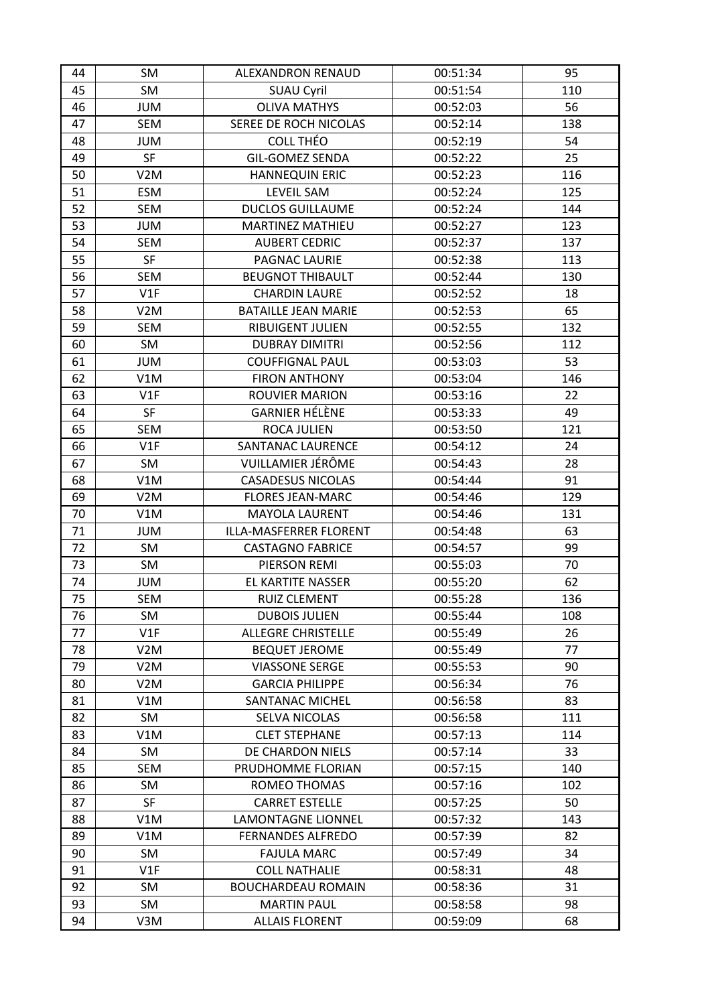| 44 | SM               | ALEXANDRON RENAUD          | 00:51:34 | 95  |
|----|------------------|----------------------------|----------|-----|
| 45 | SM               | <b>SUAU Cyril</b>          | 00:51:54 | 110 |
| 46 | <b>JUM</b>       | <b>OLIVA MATHYS</b>        | 00:52:03 | 56  |
| 47 | <b>SEM</b>       | SEREE DE ROCH NICOLAS      | 00:52:14 | 138 |
| 48 | <b>JUM</b>       | <b>COLL THÉO</b>           | 00:52:19 | 54  |
| 49 | SF               | <b>GIL-GOMEZ SENDA</b>     | 00:52:22 | 25  |
| 50 | V <sub>2</sub> M | HANNEQUIN ERIC             | 00:52:23 | 116 |
| 51 | <b>ESM</b>       | <b>LEVEIL SAM</b>          | 00:52:24 | 125 |
| 52 | <b>SEM</b>       | <b>DUCLOS GUILLAUME</b>    | 00:52:24 | 144 |
| 53 | <b>JUM</b>       | MARTINEZ MATHIEU           | 00:52:27 | 123 |
| 54 | <b>SEM</b>       | <b>AUBERT CEDRIC</b>       | 00:52:37 | 137 |
| 55 | <b>SF</b>        | PAGNAC LAURIE              | 00:52:38 | 113 |
| 56 | <b>SEM</b>       | <b>BEUGNOT THIBAULT</b>    | 00:52:44 | 130 |
| 57 | V1F              | <b>CHARDIN LAURE</b>       | 00:52:52 | 18  |
| 58 | V <sub>2</sub> M | <b>BATAILLE JEAN MARIE</b> | 00:52:53 | 65  |
| 59 | <b>SEM</b>       | <b>RIBUIGENT JULIEN</b>    | 00:52:55 | 132 |
| 60 | SM               | <b>DUBRAY DIMITRI</b>      | 00:52:56 | 112 |
| 61 | <b>JUM</b>       | <b>COUFFIGNAL PAUL</b>     | 00:53:03 | 53  |
| 62 | V1M              | <b>FIRON ANTHONY</b>       | 00:53:04 | 146 |
| 63 | V1F              | <b>ROUVIER MARION</b>      | 00:53:16 | 22  |
| 64 | <b>SF</b>        | <b>GARNIER HÉLÈNE</b>      | 00:53:33 | 49  |
| 65 | <b>SEM</b>       | <b>ROCA JULIEN</b>         | 00:53:50 | 121 |
| 66 | V1F              | <b>SANTANAC LAURENCE</b>   | 00:54:12 | 24  |
| 67 | SM               | VUILLAMIER JÉRÔME          | 00:54:43 | 28  |
| 68 | V1M              | <b>CASADESUS NICOLAS</b>   | 00:54:44 | 91  |
| 69 | V <sub>2</sub> M | <b>FLORES JEAN-MARC</b>    | 00:54:46 | 129 |
| 70 | V1M              | <b>MAYOLA LAURENT</b>      | 00:54:46 | 131 |
| 71 | <b>NUL</b>       | ILLA-MASFERRER FLORENT     | 00:54:48 | 63  |
| 72 | SM               | <b>CASTAGNO FABRICE</b>    | 00:54:57 | 99  |
| 73 | SM               | PIERSON REMI               | 00:55:03 | 70  |
| 74 | <b>NUL</b>       | EL KARTITE NASSER          | 00:55:20 | 62  |
| 75 | SEM              | <b>RUIZ CLEMENT</b>        | 00:55:28 | 136 |
| 76 | SM               | <b>DUBOIS JULIEN</b>       | 00:55:44 | 108 |
| 77 | V1F              | <b>ALLEGRE CHRISTELLE</b>  | 00:55:49 | 26  |
| 78 | V <sub>2</sub> M | <b>BEQUET JEROME</b>       | 00:55:49 | 77  |
| 79 | V <sub>2</sub> M | <b>VIASSONE SERGE</b>      | 00:55:53 | 90  |
| 80 | V <sub>2</sub> M | <b>GARCIA PHILIPPE</b>     | 00:56:34 | 76  |
| 81 | V1M              | <b>SANTANAC MICHEL</b>     | 00:56:58 | 83  |
| 82 | SM               | SELVA NICOLAS              | 00:56:58 | 111 |
| 83 | V1M              | <b>CLET STEPHANE</b>       | 00:57:13 | 114 |
| 84 | SM               | DE CHARDON NIELS           | 00:57:14 | 33  |
| 85 | <b>SEM</b>       | PRUDHOMME FLORIAN          | 00:57:15 | 140 |
| 86 | SM               | ROMEO THOMAS               | 00:57:16 | 102 |
| 87 | SF               | <b>CARRET ESTELLE</b>      | 00:57:25 | 50  |
| 88 | V1M              | <b>LAMONTAGNE LIONNEL</b>  | 00:57:32 | 143 |
| 89 | V1M              | <b>FERNANDES ALFREDO</b>   | 00:57:39 | 82  |
| 90 | SM               | <b>FAJULA MARC</b>         | 00:57:49 | 34  |
| 91 | V1F              | <b>COLL NATHALIE</b>       | 00:58:31 | 48  |
| 92 | SM               | <b>BOUCHARDEAU ROMAIN</b>  | 00:58:36 | 31  |
| 93 | SM               | <b>MARTIN PAUL</b>         | 00:58:58 | 98  |
| 94 | V3M              | <b>ALLAIS FLORENT</b>      | 00:59:09 | 68  |